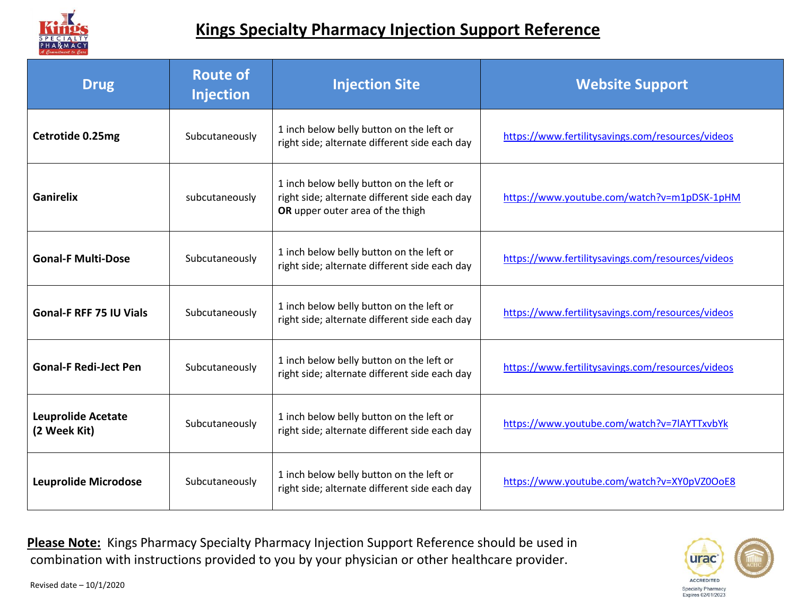

## **Kings Specialty Pharmacy Injection Support Reference**

| <b>Drug</b>                               | <b>Route of</b><br><b>Injection</b> | <b>Injection Site</b>                                                                                                         | <b>Website Support</b>                            |
|-------------------------------------------|-------------------------------------|-------------------------------------------------------------------------------------------------------------------------------|---------------------------------------------------|
| Cetrotide 0.25mg                          | Subcutaneously                      | 1 inch below belly button on the left or<br>right side; alternate different side each day                                     | https://www.fertilitysavings.com/resources/videos |
| <b>Ganirelix</b>                          | subcutaneously                      | 1 inch below belly button on the left or<br>right side; alternate different side each day<br>OR upper outer area of the thigh | https://www.youtube.com/watch?v=m1pDSK-1pHM       |
| <b>Gonal-F Multi-Dose</b>                 | Subcutaneously                      | 1 inch below belly button on the left or<br>right side; alternate different side each day                                     | https://www.fertilitysavings.com/resources/videos |
| <b>Gonal-F RFF 75 IU Vials</b>            | Subcutaneously                      | 1 inch below belly button on the left or<br>right side; alternate different side each day                                     | https://www.fertilitysavings.com/resources/videos |
| <b>Gonal-F Redi-Ject Pen</b>              | Subcutaneously                      | 1 inch below belly button on the left or<br>right side; alternate different side each day                                     | https://www.fertilitysavings.com/resources/videos |
| <b>Leuprolide Acetate</b><br>(2 Week Kit) | Subcutaneously                      | 1 inch below belly button on the left or<br>right side; alternate different side each day                                     | https://www.youtube.com/watch?v=7lAYTTxvbYk       |
| <b>Leuprolide Microdose</b>               | Subcutaneously                      | 1 inch below belly button on the left or<br>right side; alternate different side each day                                     | https://www.youtube.com/watch?v=XY0pVZ0OoE8       |

**Please Note:** Kings Pharmacy Specialty Pharmacy Injection Support Reference should be used in combination with instructions provided to you by your physician or other healthcare provider.